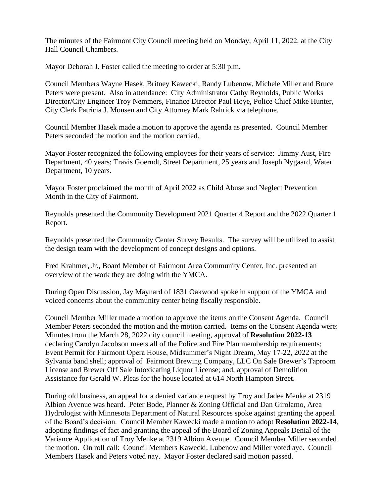The minutes of the Fairmont City Council meeting held on Monday, April 11, 2022, at the City Hall Council Chambers.

Mayor Deborah J. Foster called the meeting to order at 5:30 p.m.

Council Members Wayne Hasek, Britney Kawecki, Randy Lubenow, Michele Miller and Bruce Peters were present. Also in attendance: City Administrator Cathy Reynolds, Public Works Director/City Engineer Troy Nemmers, Finance Director Paul Hoye, Police Chief Mike Hunter, City Clerk Patricia J. Monsen and City Attorney Mark Rahrick via telephone.

Council Member Hasek made a motion to approve the agenda as presented. Council Member Peters seconded the motion and the motion carried.

Mayor Foster recognized the following employees for their years of service: Jimmy Aust, Fire Department, 40 years; Travis Goerndt, Street Department, 25 years and Joseph Nygaard, Water Department, 10 years.

Mayor Foster proclaimed the month of April 2022 as Child Abuse and Neglect Prevention Month in the City of Fairmont.

Reynolds presented the Community Development 2021 Quarter 4 Report and the 2022 Quarter 1 Report.

Reynolds presented the Community Center Survey Results. The survey will be utilized to assist the design team with the development of concept designs and options.

Fred Krahmer, Jr., Board Member of Fairmont Area Community Center, Inc. presented an overview of the work they are doing with the YMCA.

During Open Discussion, Jay Maynard of 1831 Oakwood spoke in support of the YMCA and voiced concerns about the community center being fiscally responsible.

Council Member Miller made a motion to approve the items on the Consent Agenda. Council Member Peters seconded the motion and the motion carried. Items on the Consent Agenda were: Minutes from the March 28, 2022 city council meeting, approval of **Resolution 2022-13** declaring Carolyn Jacobson meets all of the Police and Fire Plan membership requirements; Event Permit for Fairmont Opera House, Midsummer's Night Dream, May 17-22, 2022 at the Sylvania band shell; approval of Fairmont Brewing Company, LLC On Sale Brewer's Taproom License and Brewer Off Sale Intoxicating Liquor License; and, approval of Demolition Assistance for Gerald W. Pleas for the house located at 614 North Hampton Street.

During old business, an appeal for a denied variance request by Troy and Jadee Menke at 2319 Albion Avenue was heard. Peter Bode, Planner & Zoning Official and Dan Girolamo, Area Hydrologist with Minnesota Department of Natural Resources spoke against granting the appeal of the Board's decision. Council Member Kawecki made a motion to adopt **Resolution 2022-14**, adopting findings of fact and granting the appeal of the Board of Zoning Appeals Denial of the Variance Application of Troy Menke at 2319 Albion Avenue. Council Member Miller seconded the motion. On roll call: Council Members Kawecki, Lubenow and Miller voted aye. Council Members Hasek and Peters voted nay. Mayor Foster declared said motion passed.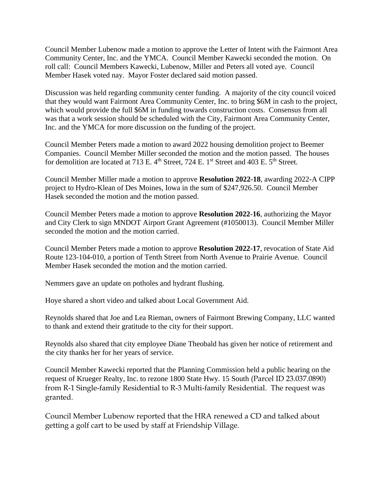Council Member Lubenow made a motion to approve the Letter of Intent with the Fairmont Area Community Center, Inc. and the YMCA. Council Member Kawecki seconded the motion. On roll call: Council Members Kawecki, Lubenow, Miller and Peters all voted aye. Council Member Hasek voted nay. Mayor Foster declared said motion passed.

Discussion was held regarding community center funding. A majority of the city council voiced that they would want Fairmont Area Community Center, Inc. to bring \$6M in cash to the project, which would provide the full \$6M in funding towards construction costs. Consensus from all was that a work session should be scheduled with the City, Fairmont Area Community Center, Inc. and the YMCA for more discussion on the funding of the project.

Council Member Peters made a motion to award 2022 housing demolition project to Beemer Companies. Council Member Miller seconded the motion and the motion passed. The houses for demolition are located at 713 E.  $4<sup>th</sup>$  Street, 724 E. 1<sup>st</sup> Street and 403 E.  $5<sup>th</sup>$  Street.

Council Member Miller made a motion to approve **Resolution 2022-18**, awarding 2022-A CIPP project to Hydro-Klean of Des Moines, Iowa in the sum of \$247,926.50. Council Member Hasek seconded the motion and the motion passed.

Council Member Peters made a motion to approve **Resolution 2022-16**, authorizing the Mayor and City Clerk to sign MNDOT Airport Grant Agreement (#1050013). Council Member Miller seconded the motion and the motion carried.

Council Member Peters made a motion to approve **Resolution 2022-17**, revocation of State Aid Route 123-104-010, a portion of Tenth Street from North Avenue to Prairie Avenue. Council Member Hasek seconded the motion and the motion carried.

Nemmers gave an update on potholes and hydrant flushing.

Hoye shared a short video and talked about Local Government Aid.

Reynolds shared that Joe and Lea Rieman, owners of Fairmont Brewing Company, LLC wanted to thank and extend their gratitude to the city for their support.

Reynolds also shared that city employee Diane Theobald has given her notice of retirement and the city thanks her for her years of service.

Council Member Kawecki reported that the Planning Commission held a public hearing on the request of Krueger Realty, Inc. to rezone 1800 State Hwy. 15 South (Parcel ID 23.037.0890) from R-1 Single-family Residential to R-3 Multi-family Residential. The request was granted.

Council Member Lubenow reported that the HRA renewed a CD and talked about getting a golf cart to be used by staff at Friendship Village.